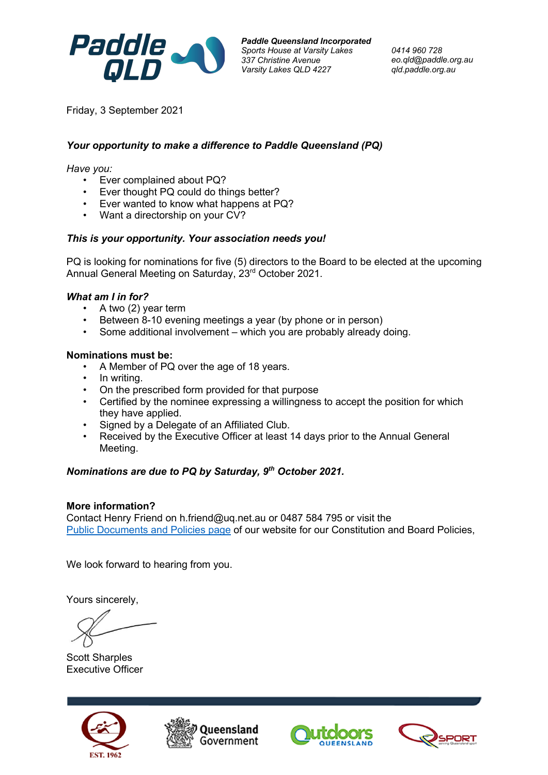

*Paddle Queensland Incorporated Sports House at Varsity Lakes 337 Christine Avenue Varsity Lakes QLD 4227*

*0414 960 728 eo.qld@paddle.org.au qld.paddle.org.au*

Friday, 3 September 2021

# *Your opportunity to make a difference to Paddle Queensland (PQ)*

*Have you:*

- Ever complained about PQ?
- Ever thought PQ could do things better?
- Ever wanted to know what happens at PQ?
- Want a directorship on your CV?

### *This is your opportunity. Your association needs you!*

PQ is looking for nominations for five (5) directors to the Board to be elected at the upcoming Annual General Meeting on Saturday, 23<sup>rd</sup> October 2021.

### *What am I in for?*

- A two (2) year term
- Between 8-10 evening meetings a year (by phone or in person)
- Some additional involvement which you are probably already doing.

### **Nominations must be:**

- A Member of PQ over the age of 18 years.
- In writing.
- On the prescribed form provided for that purpose
- Certified by the nominee expressing a willingness to accept the position for which they have applied.
- Signed by a Delegate of an Affiliated Club.
- Received by the Executive Officer at least 14 days prior to the Annual General Meeting.

## *Nominations are due to PQ by Saturday, 9th October 2021.*

### **More information?**

Contact Henry Friend on h.friend@uq.net.au or 0487 584 795 or visit the Public Documents and Policies page of our website for our Constitution and Board Policies,

We look forward to hearing from you.

Yours sincerely,

Scott Sharples Executive Officer